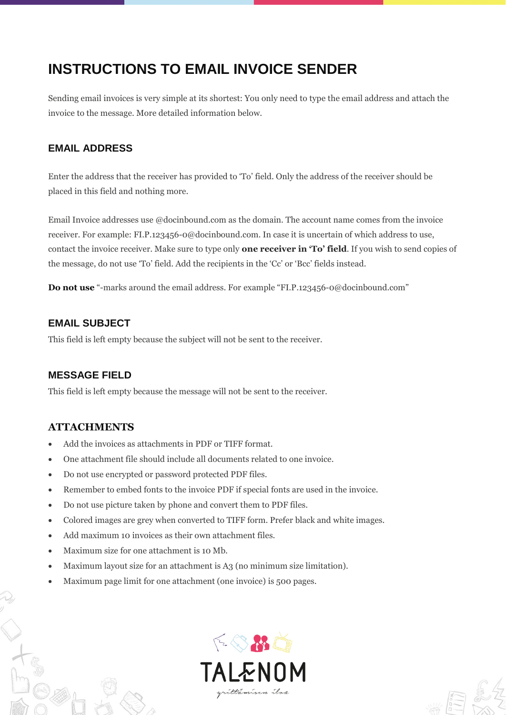# **INSTRUCTIONS TO EMAIL INVOICE SENDER**

Sending email invoices is very simple at its shortest: You only need to type the email address and attach the invoice to the message. More detailed information below.

# **EMAIL ADDRESS**

Enter the address that the receiver has provided to 'To' field. Only the address of the receiver should be placed in this field and nothing more.

Email Invoice addresses use @docinbound.com as the domain. The account name comes from the invoice receiver. For example: FI.P.123456-0@docinbound.com. In case it is uncertain of which address to use, contact the invoice receiver. Make sure to type only **one receiver in 'To' field**. If you wish to send copies of the message, do not use 'To' field. Add the recipients in the 'Cc' or 'Bcc' fields instead.

**Do not use** "-marks around the email address. For example "FI.P.123456-0@docinbound.com"

#### **EMAIL SUBJECT**

This field is left empty because the subject will not be sent to the receiver.

## **MESSAGE FIELD**

This field is left empty because the message will not be sent to the receiver.

## **ATTACHMENTS**

- Add the invoices as attachments in PDF or TIFF format.
- One attachment file should include all documents related to one invoice.
- Do not use encrypted or password protected PDF files.
- Remember to embed fonts to the invoice PDF if special fonts are used in the invoice.
- Do not use picture taken by phone and convert them to PDF files.
- Colored images are grey when converted to TIFF form. Prefer black and white images.
- Add maximum 10 invoices as their own attachment files.
- Maximum size for one attachment is 10 Mb.
- Maximum layout size for an attachment is A3 (no minimum size limitation).
- Maximum page limit for one attachment (one invoice) is 500 pages.